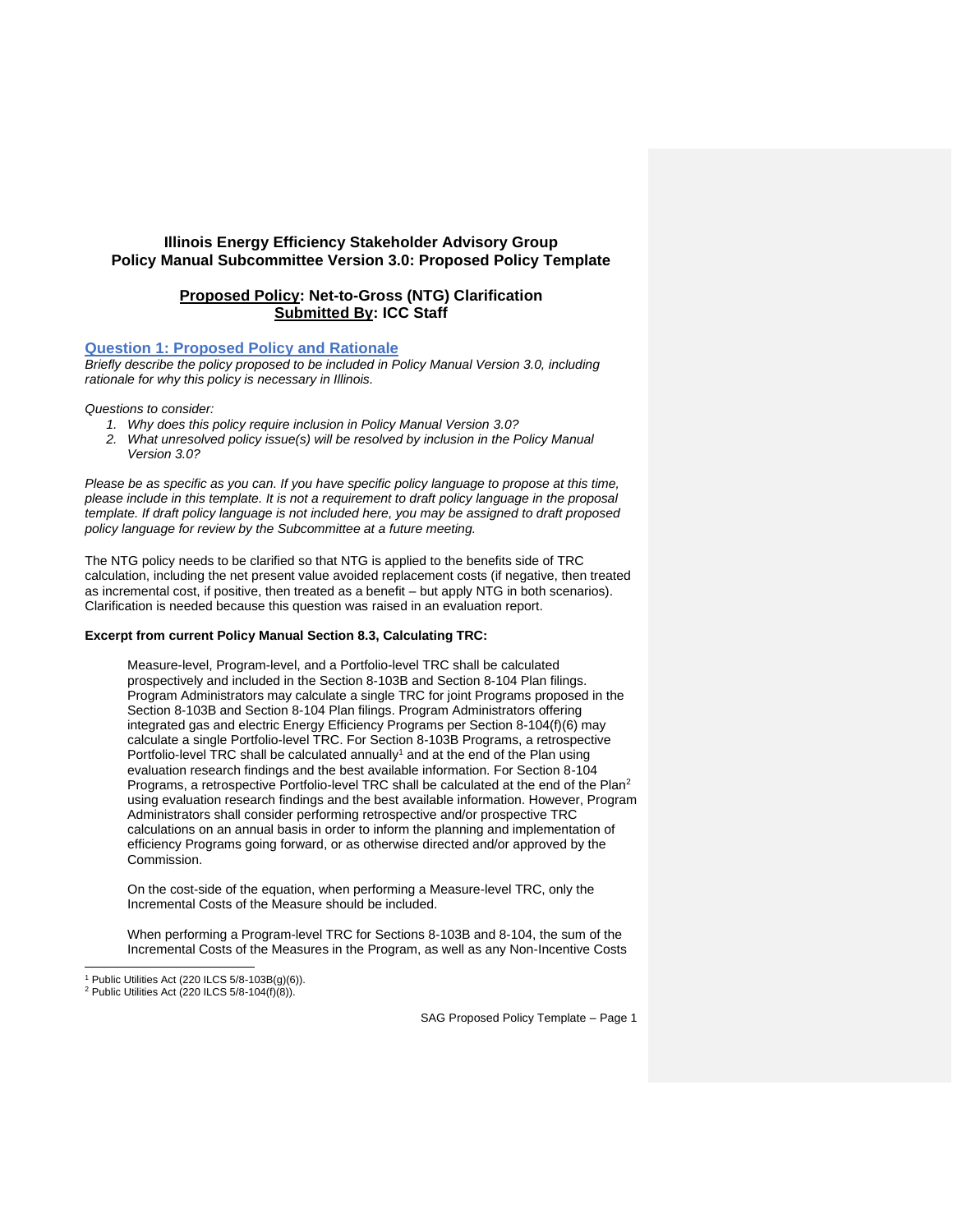# **Illinois Energy Efficiency Stakeholder Advisory Group Policy Manual Subcommittee Version 3.0: Proposed Policy Template**

# **Proposed Policy: Net-to-Gross (NTG) Clarification Submitted By: ICC Staff**

### **Question 1: Proposed Policy and Rationale**

*Briefly describe the policy proposed to be included in Policy Manual Version 3.0, including rationale for why this policy is necessary in Illinois.* 

*Questions to consider:* 

- *1. Why does this policy require inclusion in Policy Manual Version 3.0?*
- *2. What unresolved policy issue(s) will be resolved by inclusion in the Policy Manual Version 3.0?*

*Please be as specific as you can. If you have specific policy language to propose at this time, please include in this template. It is not a requirement to draft policy language in the proposal template. If draft policy language is not included here, you may be assigned to draft proposed policy language for review by the Subcommittee at a future meeting.*

The NTG policy needs to be clarified so that NTG is applied to the benefits side of TRC calculation, including the net present value avoided replacement costs (if negative, then treated as incremental cost, if positive, then treated as a benefit – but apply NTG in both scenarios). Clarification is needed because this question was raised in an evaluation report.

## **Excerpt from current Policy Manual Section 8.3, Calculating TRC:**

Measure-level, Program-level, and a Portfolio-level TRC shall be calculated prospectively and included in the Section 8-103B and Section 8-104 Plan filings. Program Administrators may calculate a single TRC for joint Programs proposed in the Section 8-103B and Section 8-104 Plan filings. Program Administrators offering integrated gas and electric Energy Efficiency Programs per Section 8-104(f)(6) may calculate a single Portfolio-level TRC. For Section 8-103B Programs, a retrospective Portfolio-level TRC shall be calculated annually<sup>1</sup> and at the end of the Plan using evaluation research findings and the best available information. For Section 8-104 Programs, a retrospective Portfolio-level TRC shall be calculated at the end of the Plan<sup>2</sup> using evaluation research findings and the best available information. However, Program Administrators shall consider performing retrospective and/or prospective TRC calculations on an annual basis in order to inform the planning and implementation of efficiency Programs going forward, or as otherwise directed and/or approved by the Commission.

On the cost-side of the equation, when performing a Measure-level TRC, only the Incremental Costs of the Measure should be included.

When performing a Program-level TRC for Sections 8-103B and 8-104, the sum of the Incremental Costs of the Measures in the Program, as well as any Non-Incentive Costs

<sup>1</sup> Public Utilities Act (220 ILCS 5/8-103B(g)(6)).

<sup>&</sup>lt;sup>2</sup> Public Utilities Act (220 ILCS  $5/8-104(f)(8)$ ).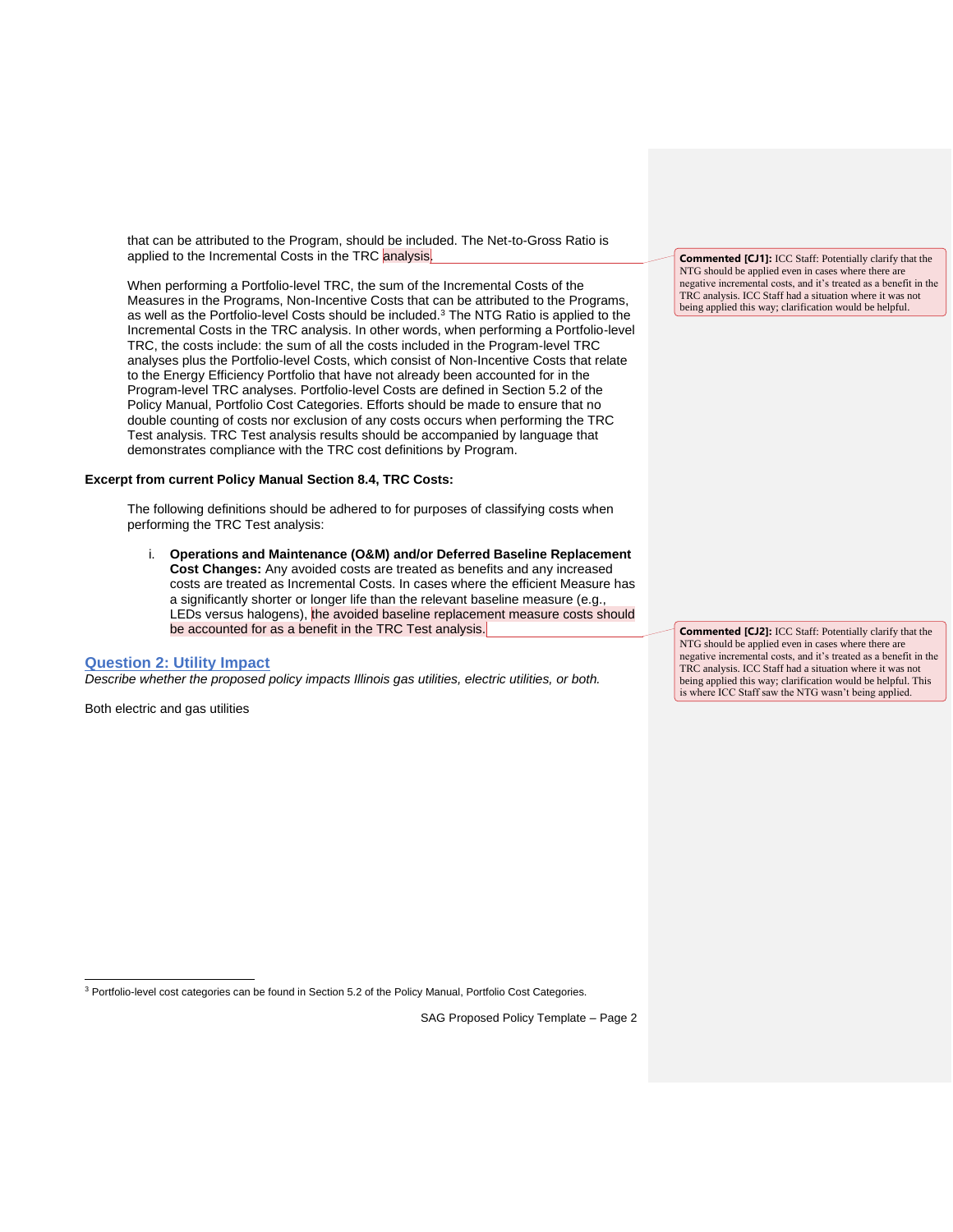that can be attributed to the Program, should be included. The Net-to-Gross Ratio is applied to the Incremental Costs in the TRC analysis.

When performing a Portfolio-level TRC, the sum of the Incremental Costs of the Measures in the Programs, Non-Incentive Costs that can be attributed to the Programs, as well as the Portfolio-level Costs should be included.<sup>3</sup> The NTG Ratio is applied to the Incremental Costs in the TRC analysis. In other words, when performing a Portfolio-level TRC, the costs include: the sum of all the costs included in the Program-level TRC analyses plus the Portfolio-level Costs, which consist of Non-Incentive Costs that relate to the Energy Efficiency Portfolio that have not already been accounted for in the Program-level TRC analyses. Portfolio-level Costs are defined in Section 5.2 of the Policy Manual, Portfolio Cost Categories. Efforts should be made to ensure that no double counting of costs nor exclusion of any costs occurs when performing the TRC Test analysis. TRC Test analysis results should be accompanied by language that demonstrates compliance with the TRC cost definitions by Program.

### **Excerpt from current Policy Manual Section 8.4, TRC Costs:**

The following definitions should be adhered to for purposes of classifying costs when performing the TRC Test analysis:

i. **Operations and Maintenance (O&M) and/or Deferred Baseline Replacement Cost Changes:** Any avoided costs are treated as benefits and any increased costs are treated as Incremental Costs. In cases where the efficient Measure has a significantly shorter or longer life than the relevant baseline measure (e.g., LEDs versus halogens), the avoided baseline replacement measure costs should be accounted for as a benefit in the TRC Test analysis.

#### **Question 2: Utility Impact**

*Describe whether the proposed policy impacts Illinois gas utilities, electric utilities, or both.* 

Both electric and gas utilities

**Commented [CJ1]:** ICC Staff: Potentially clarify that the NTG should be applied even in cases where there are negative incremental costs, and it's treated as a benefit in the TRC analysis. ICC Staff had a situation where it was not being applied this way; clarification would be helpful.

**Commented [CJ2]:** ICC Staff: Potentially clarify that the NTG should be applied even in cases where there are negative incremental costs, and it's treated as a benefit in the TRC analysis. ICC Staff had a situation where it was not being applied this way; clarification would be helpful. This is where ICC Staff saw the NTG wasn't being applied.

<sup>3</sup> Portfolio-level cost categories can be found in Section 5.2 of the Policy Manual, Portfolio Cost Categories.